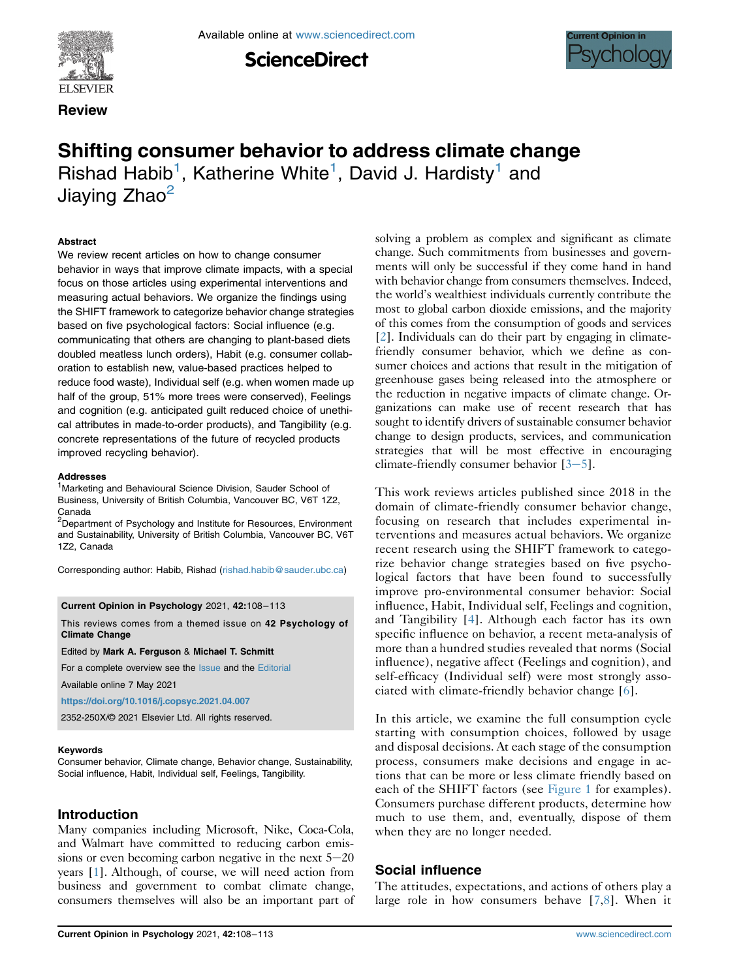



Available online at [www.sciencedirect.com](www.sciencedirect.com/science/journal/2352250X)

**ScienceDirect** 



# Shifting consumer behavior to address climate change Rishad Habib<sup>[1](#page-0-0)</sup>, Katherine White<sup>1</sup>, David J. Hardisty<sup>1</sup> and Jiaying Zhao<sup>[2](#page-0-1)</sup>

#### **Abstract**

We review recent articles on how to change consumer behavior in ways that improve climate impacts, with a special focus on those articles using experimental interventions and measuring actual behaviors. We organize the findings using the SHIFT framework to categorize behavior change strategies based on five psychological factors: Social influence (e.g. communicating that others are changing to plant-based diets doubled meatless lunch orders), Habit (e.g. consumer collaboration to establish new, value-based practices helped to reduce food waste), Individual self (e.g. when women made up half of the group, 51% more trees were conserved), Feelings and cognition (e.g. anticipated guilt reduced choice of unethical attributes in made-to-order products), and Tangibility (e.g. concrete representations of the future of recycled products improved recycling behavior).

#### Addresses

<span id="page-0-0"></span><sup>1</sup>Marketing and Behavioural Science Division, Sauder School of Business, University of British Columbia, Vancouver BC, V6T 1Z2, Canada

<span id="page-0-1"></span><sup>2</sup>Department of Psychology and Institute for Resources, Environment and Sustainability, University of British Columbia, Vancouver BC, V6T 1Z2, Canada

Corresponding author: Habib, Rishad [\(rishad.habib@sauder.ubc.ca\)](mailto:rishad.habib@sauder.ubc.ca)

#### Current Opinion in Psychology 2021, 42:108–113

This reviews comes from a themed issue on 42 Psychology of Climate Change

#### Edited by Mark A. Ferguson & Michael T. Schmitt

For a complete overview see the [Issue](http://www.sciencedirect.com/science/journal/18796257/vol/issue) and the [Editorial](https://doi.org/10.1016/j.copsyc.2021.04.007)

Available online 7 May 2021

<https://doi.org/10.1016/j.copsyc.2021.04.007>

2352-250X/© 2021 Elsevier Ltd. All rights reserved.

#### Keywords

Consumer behavior, Climate change, Behavior change, Sustainability, Social influence, Habit, Individual self, Feelings, Tangibility.

### Introduction

Many companies including Microsoft, Nike, Coca-Cola, and Walmart have committed to reducing carbon emissions or even becoming carbon negative in the next  $5-20$ years [\[1](#page-3-0)]. Although, of course, we will need action from business and government to combat climate change, consumers themselves will also be an important part of solving a problem as complex and significant as climate change. Such commitments from businesses and governments will only be successful if they come hand in hand with behavior change from consumers themselves. Indeed, the world's wealthiest individuals currently contribute the most to global carbon dioxide emissions, and the majority of this comes from the consumption of goods and services [\[2](#page-3-1)]. Individuals can do their part by engaging in climatefriendly consumer behavior, which we define as consumer choices and actions that result in the mitigation of greenhouse gases being released into the atmosphere or the reduction in negative impacts of climate change. Organizations can make use of recent research that has sought to identify drivers of sustainable consumer behavior change to design products, services, and communication strategies that will be most effective in encouraging climate-friendly consumer behavior  $[3-5]$  $[3-5]$  $[3-5]$ .

This work reviews articles published since 2018 in the domain of climate-friendly consumer behavior change, focusing on research that includes experimental interventions and measures actual behaviors. We organize recent research using the SHIFT framework to categorize behavior change strategies based on five psychological factors that have been found to successfully improve pro-environmental consumer behavior: Social influence, Habit, Individual self, Feelings and cognition, and Tangibility [\[4](#page-3-3)]. Although each factor has its own specific influence on behavior, a recent meta-analysis of more than a hundred studies revealed that norms (Social influence), negative affect (Feelings and cognition), and self-efficacy (Individual self) were most strongly associated with climate-friendly behavior change [\[6](#page-4-0)].

In this article, we examine the full consumption cycle starting with consumption choices, followed by usage and disposal decisions. At each stage of the consumption process, consumers make decisions and engage in actions that can be more or less climate friendly based on each of the SHIFT factors (see [Figure 1](#page-1-0) for examples). Consumers purchase different products, determine how much to use them, and, eventually, dispose of them when they are no longer needed.

### Social influence

The attitudes, expectations, and actions of others play a large role in how consumers behave [\[7,](#page-4-1)[8](#page-4-2)]. When it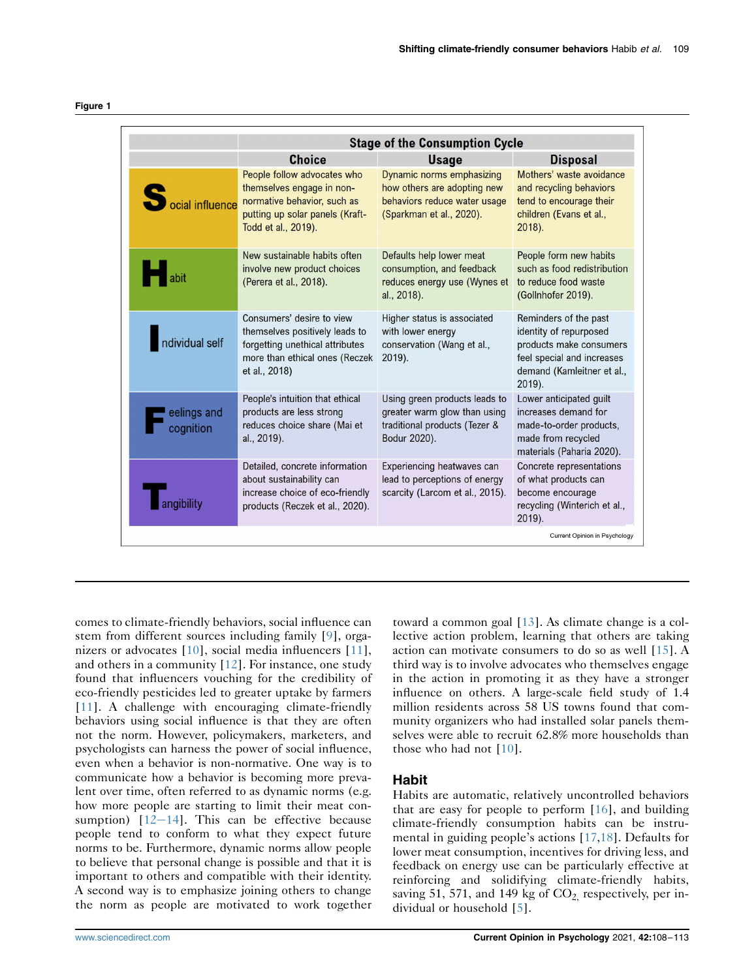<span id="page-1-0"></span>

| ۰, |  |
|----|--|
|----|--|

|                             | <b>Stage of the Consumption Cycle</b>                                                                                                             |                                                                                                                      |                                                                                                                                                  |
|-----------------------------|---------------------------------------------------------------------------------------------------------------------------------------------------|----------------------------------------------------------------------------------------------------------------------|--------------------------------------------------------------------------------------------------------------------------------------------------|
|                             | <b>Choice</b>                                                                                                                                     | <b>Usage</b>                                                                                                         | <b>Disposal</b>                                                                                                                                  |
| S<br><b>pcial influence</b> | People follow advocates who<br>themselves engage in non-<br>normative behavior, such as<br>putting up solar panels (Kraft-<br>Todd et al., 2019). | Dynamic norms emphasizing<br>how others are adopting new<br>behaviors reduce water usage<br>(Sparkman et al., 2020). | Mothers' waste avoidance<br>and recycling behaviors<br>tend to encourage their<br>children (Evans et al.,<br>$2018$ ).                           |
| abit                        | New sustainable habits often<br>involve new product choices<br>(Perera et al., 2018).                                                             | Defaults help lower meat<br>consumption, and feedback<br>reduces energy use (Wynes et<br>al., 2018).                 | People form new habits<br>such as food redistribution<br>to reduce food waste<br>(Gollnhofer 2019).                                              |
| ndividual self              | Consumers' desire to view<br>themselves positively leads to<br>forgetting unethical attributes<br>more than ethical ones (Reczek<br>et al., 2018) | Higher status is associated<br>with lower energy<br>conservation (Wang et al.,<br>2019).                             | Reminders of the past<br>identity of repurposed<br>products make consumers<br>feel special and increases<br>demand (Kamleitner et al.,<br>2019). |
| eelings and<br>cognition    | People's intuition that ethical<br>products are less strong<br>reduces choice share (Mai et<br>al., 2019).                                        | Using green products leads to<br>greater warm glow than using<br>traditional products (Tezer &<br>Bodur 2020).       | Lower anticipated guilt<br>increases demand for<br>made-to-order products,<br>made from recycled<br>materials (Paharia 2020).                    |
|                             | Detailed, concrete information<br>about sustainability can<br>increase choice of eco-friendly<br>products (Reczek et al., 2020).                  | Experiencing heatwaves can<br>lead to perceptions of energy<br>scarcity (Larcom et al., 2015).                       | Concrete representations<br>of what products can<br>become encourage<br>recycling (Winterich et al.,<br>2019).                                   |

comes to climate-friendly behaviors, social influence can stem from different sources including family [[9\]](#page-4-3), organizers or advocates [\[10](#page-4-4)], social media influencers [[11](#page-4-5)], and others in a community [\[12\]](#page-4-6). For instance, one study found that influencers vouching for the credibility of eco-friendly pesticides led to greater uptake by farmers [\[11\]](#page-4-5). A challenge with encouraging climate-friendly behaviors using social influence is that they are often not the norm. However, policymakers, marketers, and psychologists can harness the power of social influence, even when a behavior is non-normative. One way is to communicate how a behavior is becoming more prevalent over time, often referred to as dynamic norms (e.g. how more people are starting to limit their meat consumption)  $[12-14]$  $[12-14]$  $[12-14]$  $[12-14]$  $[12-14]$ . This can be effective because people tend to conform to what they expect future norms to be. Furthermore, dynamic norms allow people to believe that personal change is possible and that it is important to others and compatible with their identity. A second way is to emphasize joining others to change the norm as people are motivated to work together

toward a common goal [[13](#page-4-7)]. As climate change is a collective action problem, learning that others are taking action can motivate consumers to do so as well [[15](#page-4-8)]. A third way is to involve advocates who themselves engage in the action in promoting it as they have a stronger influence on others. A large-scale field study of 1.4 million residents across 58 US towns found that community organizers who had installed solar panels themselves were able to recruit 62.8% more households than those who had not [[10](#page-4-4)].

### Habit

Habits are automatic, relatively uncontrolled behaviors that are easy for people to perform [\[16\]](#page-4-9), and building climate-friendly consumption habits can be instrumental in guiding people's actions [\[17](#page-4-10)[,18\]](#page-4-11). Defaults for lower meat consumption, incentives for driving less, and feedback on energy use can be particularly effective at reinforcing and solidifying climate-friendly habits, saving 51, 571, and 149 kg of  $CO<sub>2</sub>$ , respectively, per individual or household [[5](#page-3-4)].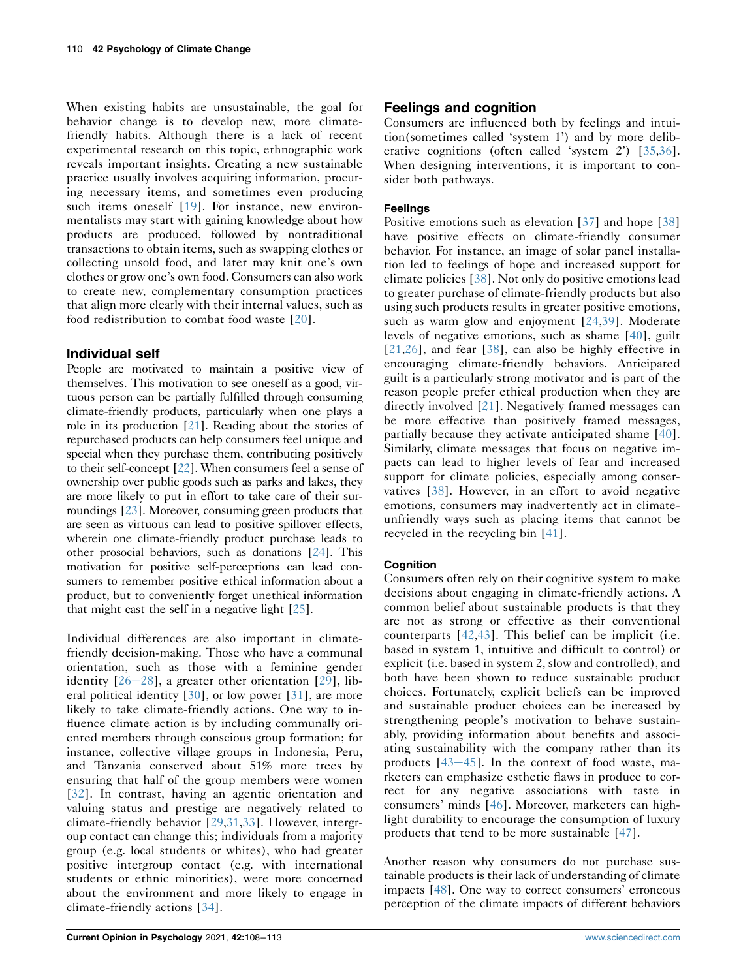When existing habits are unsustainable, the goal for behavior change is to develop new, more climatefriendly habits. Although there is a lack of recent experimental research on this topic, ethnographic work reveals important insights. Creating a new sustainable practice usually involves acquiring information, procuring necessary items, and sometimes even producing such items oneself [\[19\]](#page-4-12). For instance, new environmentalists may start with gaining knowledge about how products are produced, followed by nontraditional transactions to obtain items, such as swapping clothes or collecting unsold food, and later may knit one's own clothes or grow one's own food. Consumers can also work to create new, complementary consumption practices that align more clearly with their internal values, such as food redistribution to combat food waste [[20](#page-4-13)].

# Individual self

People are motivated to maintain a positive view of themselves. This motivation to see oneself as a good, virtuous person can be partially fulfilled through consuming climate-friendly products, particularly when one plays a role in its production [\[21](#page-4-14)]. Reading about the stories of repurchased products can help consumers feel unique and special when they purchase them, contributing positively to their self-concept [\[22\]](#page-4-15). When consumers feel a sense of ownership over public goods such as parks and lakes, they are more likely to put in effort to take care of their surroundings [\[23](#page-4-16)]. Moreover, consuming green products that are seen as virtuous can lead to positive spillover effects, wherein one climate-friendly product purchase leads to other prosocial behaviors, such as donations [\[24](#page-4-17)]. This motivation for positive self-perceptions can lead consumers to remember positive ethical information about a product, but to conveniently forget unethical information that might cast the self in a negative light [\[25](#page-4-18)].

Individual differences are also important in climatefriendly decision-making. Those who have a communal orientation, such as those with a feminine gender identity  $[26-28]$  $[26-28]$  $[26-28]$  $[26-28]$  $[26-28]$ , a greater other orientation  $[29]$  $[29]$  $[29]$ , liberal political identity [\[30\]](#page-4-21), or low power [[31](#page-4-22)], are more likely to take climate-friendly actions. One way to influence climate action is by including communally oriented members through conscious group formation; for instance, collective village groups in Indonesia, Peru, and Tanzania conserved about 51% more trees by ensuring that half of the group members were women [\[32](#page-4-23)]. In contrast, having an agentic orientation and valuing status and prestige are negatively related to climate-friendly behavior [[29](#page-4-20),[31,](#page-4-22)[33\]](#page-4-24). However, intergroup contact can change this; individuals from a majority group (e.g. local students or whites), who had greater positive intergroup contact (e.g. with international students or ethnic minorities), were more concerned about the environment and more likely to engage in climate-friendly actions [\[34\]](#page-4-25).

### Feelings and cognition

Consumers are influenced both by feelings and intuition(sometimes called 'system 1') and by more deliberative cognitions (often called 'system 2') [\[35,](#page-4-26)[36\]](#page-4-27). When designing interventions, it is important to consider both pathways.

### Feelings

Positive emotions such as elevation [[37](#page-4-28)] and hope [[38](#page-5-0)] have positive effects on climate-friendly consumer behavior. For instance, an image of solar panel installation led to feelings of hope and increased support for climate policies [\[38\]](#page-5-0). Not only do positive emotions lead to greater purchase of climate-friendly products but also using such products results in greater positive emotions, such as warm glow and enjoyment [[24](#page-4-17),[39](#page-5-1)]. Moderate levels of negative emotions, such as shame [\[40\]](#page-5-2), guilt [\[21,](#page-4-14)[26\]](#page-4-19), and fear [\[38\]](#page-5-0), can also be highly effective in encouraging climate-friendly behaviors. Anticipated guilt is a particularly strong motivator and is part of the reason people prefer ethical production when they are directly involved [[21\]](#page-4-14). Negatively framed messages can be more effective than positively framed messages, partially because they activate anticipated shame [\[40\]](#page-5-2). Similarly, climate messages that focus on negative impacts can lead to higher levels of fear and increased support for climate policies, especially among conservatives [[38](#page-5-0)]. However, in an effort to avoid negative emotions, consumers may inadvertently act in climateunfriendly ways such as placing items that cannot be recycled in the recycling bin [\[41\]](#page-5-3).

### **Cognition**

Consumers often rely on their cognitive system to make decisions about engaging in climate-friendly actions. A common belief about sustainable products is that they are not as strong or effective as their conventional counterparts [\[42](#page-5-4)[,43](#page-5-5)]. This belief can be implicit (i.e. based in system 1, intuitive and difficult to control) or explicit (i.e. based in system 2, slow and controlled), and both have been shown to reduce sustainable product choices. Fortunately, explicit beliefs can be improved and sustainable product choices can be increased by strengthening people's motivation to behave sustainably, providing information about benefits and associating sustainability with the company rather than its products  $[43-45]$  $[43-45]$  $[43-45]$  $[43-45]$  $[43-45]$ . In the context of food waste, marketers can emphasize esthetic flaws in produce to correct for any negative associations with taste in consumers' minds [\[46\]](#page-5-6). Moreover, marketers can highlight durability to encourage the consumption of luxury products that tend to be more sustainable [[47](#page-5-7)].

Another reason why consumers do not purchase sustainable products is their lack of understanding of climate impacts [[48](#page-5-8)]. One way to correct consumers' erroneous perception of the climate impacts of different behaviors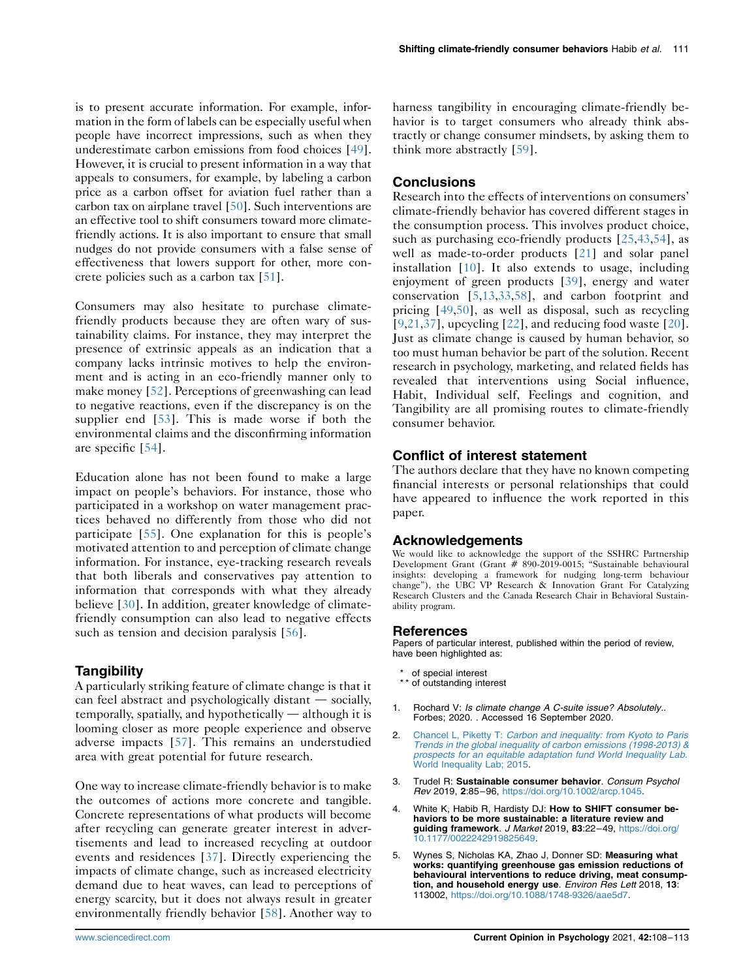is to present accurate information. For example, information in the form of labels can be especially useful when people have incorrect impressions, such as when they underestimate carbon emissions from food choices [\[49](#page-5-9)]. However, it is crucial to present information in a way that appeals to consumers, for example, by labeling a carbon price as a carbon offset for aviation fuel rather than a carbon tax on airplane travel [[50\]](#page-5-10). Such interventions are an effective tool to shift consumers toward more climatefriendly actions. It is also important to ensure that small nudges do not provide consumers with a false sense of effectiveness that lowers support for other, more concrete policies such as a carbon tax [\[51\]](#page-5-11).

Consumers may also hesitate to purchase climatefriendly products because they are often wary of sustainability claims. For instance, they may interpret the presence of extrinsic appeals as an indication that a company lacks intrinsic motives to help the environment and is acting in an eco-friendly manner only to make money [[52](#page-5-12)]. Perceptions of greenwashing can lead to negative reactions, even if the discrepancy is on the supplier end [\[53](#page-5-13)]. This is made worse if both the environmental claims and the disconfirming information are specific [\[54](#page-5-14)].

Education alone has not been found to make a large impact on people's behaviors. For instance, those who participated in a workshop on water management practices behaved no differently from those who did not participate [\[55\]](#page-5-15). One explanation for this is people's motivated attention to and perception of climate change information. For instance, eye-tracking research reveals that both liberals and conservatives pay attention to information that corresponds with what they already believe [\[30](#page-4-21)]. In addition, greater knowledge of climatefriendly consumption can also lead to negative effects such as tension and decision paralysis [\[56\]](#page-5-16).

# Tangibility

A particularly striking feature of climate change is that it can feel abstract and psychologically distant  $-$  socially,  $temporally, spatially, and hypothetically — although it is$ looming closer as more people experience and observe adverse impacts [[57\]](#page-5-17). This remains an understudied area with great potential for future research.

One way to increase climate-friendly behavior is to make the outcomes of actions more concrete and tangible. Concrete representations of what products will become after recycling can generate greater interest in advertisements and lead to increased recycling at outdoor events and residences [[37\]](#page-4-28). Directly experiencing the impacts of climate change, such as increased electricity demand due to heat waves, can lead to perceptions of energy scarcity, but it does not always result in greater environmentally friendly behavior [[58](#page-5-18)]. Another way to

harness tangibility in encouraging climate-friendly behavior is to target consumers who already think abstractly or change consumer mindsets, by asking them to think more abstractly [\[59\]](#page-5-19).

# **Conclusions**

Research into the effects of interventions on consumers' climate-friendly behavior has covered different stages in the consumption process. This involves product choice, such as purchasing eco-friendly products [[25,](#page-4-18)[43](#page-5-5)[,54\]](#page-5-14), as well as made-to-order products [\[21\]](#page-4-14) and solar panel installation [[10\]](#page-4-4). It also extends to usage, including enjoyment of green products [\[39](#page-5-1)], energy and water conservation [\[5](#page-3-4),[13](#page-4-7),[33](#page-4-24),[58](#page-5-18)], and carbon footprint and pricing [[49](#page-5-9),[50](#page-5-10)], as well as disposal, such as recycling [\[9,](#page-4-3)[21,](#page-4-14)[37](#page-4-28)], upcycling  $[22]$  $[22]$  $[22]$ , and reducing food waste  $[20]$ . Just as climate change is caused by human behavior, so too must human behavior be part of the solution. Recent research in psychology, marketing, and related fields has revealed that interventions using Social influence, Habit, Individual self, Feelings and cognition, and Tangibility are all promising routes to climate-friendly consumer behavior.

# Conflict of interest statement

The authors declare that they have no known competing financial interests or personal relationships that could have appeared to influence the work reported in this paper.

# Acknowledgements

We would like to acknowledge the support of the SSHRC Partnership Development Grant (Grant # 890-2019-0015; "Sustainable behavioural insights: developing a framework for nudging long-term behaviour change"), the UBC VP Research & Innovation Grant For Catalyzing Research Clusters and the Canada Research Chair in Behavioral Sustainability program.

#### References

Papers of particular interest, published within the period of review, have been highlighted as:

- \* of special interest
- of outstanding interest
- <span id="page-3-0"></span>Rochard V: Is climate change A C-suite issue? Absolutely.. Forbes; 2020. . Accessed 16 September 2020.
- <span id="page-3-1"></span>2. Chancel L, Piketty T: [Carbon and inequality: from Kyoto to Paris](http://refhub.elsevier.com/S2352-250X(21)00054-3/sref2) [Trends in the global inequality of carbon emissions \(1998-2013\) &](http://refhub.elsevier.com/S2352-250X(21)00054-3/sref2) [prospects for an equitable adaptation fund World Inequality Lab](http://refhub.elsevier.com/S2352-250X(21)00054-3/sref2). [World Inequality Lab; 2015](http://refhub.elsevier.com/S2352-250X(21)00054-3/sref2).
- <span id="page-3-2"></span>Trudel R: Sustainable consumer behavior. Consum Psychol Rev 2019, 2:85–96, <https://doi.org/10.1002/arcp.1045>.
- <span id="page-3-3"></span>4. White K, Habib R, Hardisty DJ: How to SHIFT consumer behaviors to be more sustainable: a literature review and guiding framework. J Market 2019, 83:22–49, [https://doi.org/](https://doi.org/10.1177/0022242919825649) [10.1177/0022242919825649.](https://doi.org/10.1177/0022242919825649)
- <span id="page-3-4"></span>5. Wynes S, Nicholas KA, Zhao J, Donner SD: Measuring what works: quantifying greenhouse gas emission reductions of behavioural interventions to reduce driving, meat consumption, and household energy use. Environ Res Lett 2018, 13: 113002, [https://doi.org/10.1088/1748-9326/aae5d7.](https://doi.org/10.1088/1748-9326/aae5d7)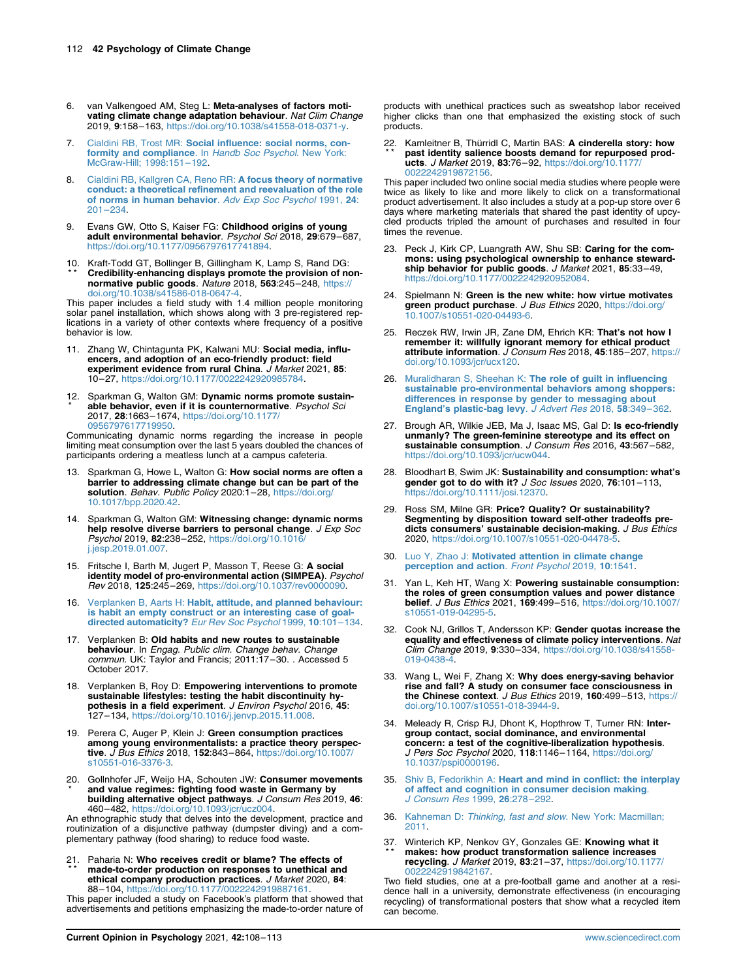- <span id="page-4-0"></span>6. van Valkengoed AM, Steg L: Meta-analyses of factors motivating climate change adaptation behaviour. Nat Clim Change 2019, 9:158–163, [https://doi.org/10.1038/s41558-018-0371-y.](https://doi.org/10.1038/s41558-018-0371-y)
- <span id="page-4-1"></span>Cialdini RB, Trost MR: [Social influence: social norms, con](http://refhub.elsevier.com/S2352-250X(21)00054-3/sref7)[formity and compliance](http://refhub.elsevier.com/S2352-250X(21)00054-3/sref7). In Handb Soc Psychol. New York: [McGraw-Hill; 1998:151](http://refhub.elsevier.com/S2352-250X(21)00054-3/sref7)–192.
- <span id="page-4-2"></span>8. [Cialdini RB, Kallgren CA, Reno RR:](http://refhub.elsevier.com/S2352-250X(21)00054-3/sref8) A focus theory of normative [conduct: a theoretical refinement and reevaluation of the role](http://refhub.elsevier.com/S2352-250X(21)00054-3/sref8) [of norms in human behavior](http://refhub.elsevier.com/S2352-250X(21)00054-3/sref8). Adv Exp Soc Psychol 1991, 24: 201–[234](http://refhub.elsevier.com/S2352-250X(21)00054-3/sref8).
- <span id="page-4-3"></span>9. Evans GW, Otto S, Kaiser FG: Childhood origins of young adult environmental behavior. Psychol Sci 2018, 29:679–687, <https://doi.org/10.1177/0956797617741894>.
- <span id="page-4-4"></span>10 . Kraft-Todd GT, Bollinger B, Gillingham K, Lamp S, Rand DG: \* \* Credibility-enhancing displays promote the provision of nonnormative public goods. Nature 2018, 563:245–248, [https://](https://doi.org/10.1038/s41586-018-0647-4) [doi.org/10.1038/s41586-018-0647-4.](https://doi.org/10.1038/s41586-018-0647-4)

This paper includes a field study with 1.4 million people monitoring solar panel installation, which shows along with 3 pre-registered replications in a variety of other contexts where frequency of a positive behavior is low.

- <span id="page-4-5"></span>11. Zhang W, Chintagunta PK, Kalwani MU: Social media, influencers, and adoption of an eco-friendly product: field<br>experiment evidence from rural China. *J Market* 2021, 85: 10–27, [https://doi.org/10.1177/0022242920985784.](https://doi.org/10.1177/0022242920985784)
- <span id="page-4-6"></span>12 . Sparkman G, Walton GM: Dynamic norms promote sustain-\* able behavior, even if it is counternormative. Psychol Sci 2017, 28:1663–1674, [https://doi.org/10.1177/](https://doi.org/10.1177/0956797617719950) [0956797617719950.](https://doi.org/10.1177/0956797617719950)

Communicating dynamic norms regarding the increase in people limiting meat consumption over the last 5 years doubled the chances of participants ordering a meatless lunch at a campus cafeteria.

- <span id="page-4-7"></span>13. Sparkman G, Howe L, Walton G: How social norms are often a barrier to addressing climate change but can be part of the solution. Behav. Public Policy 2020:1-28, [https://doi.org/](https://doi.org/10.1017/bpp.2020.42) [10.1017/bpp.2020.42.](https://doi.org/10.1017/bpp.2020.42)
- 14. Sparkman G, Walton GM: Witnessing change: dynamic norms help resolve diverse barriers to personal change. *J Exp Soc*<br>*Psychol* 2019, **82**:238–252, [https://doi.org/10.1016/](https://doi.org/10.1016/j.jesp.2019.01.007) [j.jesp.2019.01.007](https://doi.org/10.1016/j.jesp.2019.01.007).
- <span id="page-4-8"></span>15. Fritsche I, Barth M, Jugert P, Masson T, Reese G: A social identity model of pro-environmental action (SIMPEA). Psychol Rev 2018, 125:245–269, [https://doi.org/10.1037/rev0000090.](https://doi.org/10.1037/rev0000090)
- <span id="page-4-9"></span>Verplanken B, Aarts H: [Habit, attitude, and planned behaviour:](http://refhub.elsevier.com/S2352-250X(21)00054-3/sref16) [is habit an empty construct or an interesting case of goal](http://refhub.elsevier.com/S2352-250X(21)00054-3/sref16)[directed automaticity?](http://refhub.elsevier.com/S2352-250X(21)00054-3/sref16) Eur Rev Soc Psychol 1999, 10:101-134.
- <span id="page-4-10"></span>17. Verplanken B: Old habits and new routes to sustainable behaviour. In Engag. Public clim. Change behav. Change commun. UK: Taylor and Francis; 2011:17-30. . Accessed 5 October 2017.
- <span id="page-4-11"></span>18. Verplanken B, Roy D: Empowering interventions to promote sustainable lifestyles: testing the habit discontinuity hypothesis in a field experiment. J Environ Psychol 2016, 45: 127–134, <https://doi.org/10.1016/j.jenvp.2015.11.008>.
- <span id="page-4-12"></span>19. Perera C, Auger P, Klein J: Green consumption practices among young environmentalists: a practice theory perspective. J Bus Ethics 2018, 152:843–864, [https://doi.org/10.1007/](https://doi.org/10.1007/s10551-016-3376-3) [s10551-016-3376-3](https://doi.org/10.1007/s10551-016-3376-3).
- <span id="page-4-13"></span>20. Gollnhofer JF, Weijo HA, Schouten JW: Consumer movements \* and value regimes: fighting food waste in Germany by building alternative object pathways. J Consum Res 2019, 46: 460–482, [https://doi.org/10.1093/jcr/ucz004.](https://doi.org/10.1093/jcr/ucz004)

An ethnographic study that delves into the development, practice and routinization of a disjunctive pathway (dumpster diving) and a complementary pathway (food sharing) to reduce food waste.

<span id="page-4-14"></span>21 . Paharia N: Who receives credit or blame? The effects of \* \* made-to-order production on responses to unethical and ethical company production practices. J Market 2020, 84: 88–104, <https://doi.org/10.1177/0022242919887161>.

This paper included a study on Facebook's platform that showed that advertisements and petitions emphasizing the made-to-order nature of products with unethical practices such as sweatshop labor received higher clicks than one that emphasized the existing stock of such products.

<span id="page-4-15"></span>22 . Kamleitner B, Thürridl C, Martin BAS: A cinderella story: how \* \* past identity salience boosts demand for repurposed products. J Market 2019, 83:76–92, [https://doi.org/10.1177/](https://doi.org/10.1177/0022242919872156) [0022242919872156](https://doi.org/10.1177/0022242919872156).

This paper included two online social media studies where people were twice as likely to like and more likely to click on a transformational product advertisement. It also includes a study at a pop-up store over 6 days where marketing materials that shared the past identity of upcycled products tripled the amount of purchases and resulted in four times the revenue.

- <span id="page-4-16"></span>23. Peck J, Kirk CP, Luangrath AW, Shu SB: Caring for the com-mons: using psychological ownership to enhance stewardship behavior for public goods. J Market 2021, 85:33-49, [https://doi.org/10.1177/0022242920952084.](https://doi.org/10.1177/0022242920952084)
- <span id="page-4-17"></span>24. Spielmann N: Green is the new white: how virtue motivates green product purchase. J Bus Ethics 2020, [https://doi.org/](https://doi.org/10.1007/s10551-020-04493-6) [10.1007/s10551-020-04493-6.](https://doi.org/10.1007/s10551-020-04493-6)
- <span id="page-4-18"></span>25. Reczek RW, Irwin JR, Zane DM, Ehrich KR: That's not how I remember it: willfully ignorant memory for ethical product attribute information. J Consum Res 2018, 45:185–207, [https://](https://doi.org/10.1093/jcr/ucx120) [doi.org/10.1093/jcr/ucx120](https://doi.org/10.1093/jcr/ucx120).
- <span id="page-4-19"></span>26. Muralidharan S, Sheehan K: [The role of guilt in influencing](http://refhub.elsevier.com/S2352-250X(21)00054-3/sref26) [sustainable pro-environmental behaviors among shoppers:](http://refhub.elsevier.com/S2352-250X(21)00054-3/sref26) [differences in response by gender to messaging about](http://refhub.elsevier.com/S2352-250X(21)00054-3/sref26) England'[s plastic-bag levy](http://refhub.elsevier.com/S2352-250X(21)00054-3/sref26). J Advert Res 2018, 58:349–362.
- 27. Brough AR, Wilkie JEB, Ma J, Isaac MS, Gal D: Is eco-friendly unmanly? The green-feminine stereotype and its effect on<br>sustainable consumption. J Consum Res 2016, 43:567-582, [https://doi.org/10.1093/jcr/ucw044.](https://doi.org/10.1093/jcr/ucw044)
- 28. Bloodhart B, Swim JK: Sustainability and consumption: what's gender got to do with it?  $J$  Soc Issues 2020, 76:101-113, <https://doi.org/10.1111/josi.12370>.
- <span id="page-4-20"></span>29. Ross SM, Milne GR: Price? Quality? Or sustainability? Segmenting by disposition toward self-other tradeoffs predicts consumers' sustainable decision-making. J Bus Ethics 2020, <https://doi.org/10.1007/s10551-020-04478-5>.
- <span id="page-4-21"></span>30. Luo Y, Zhao J: [Motivated attention in climate change](http://refhub.elsevier.com/S2352-250X(21)00054-3/sref30) [perception and action](http://refhub.elsevier.com/S2352-250X(21)00054-3/sref30). Front Psychol 2019, 10:1541.
- <span id="page-4-22"></span>31. Yan L, Keh HT, Wang X: Powering sustainable consumption: the roles of green consumption values and power distance belief. J Bus Ethics 2021, 169:499–516, [https://doi.org/10.1007/](https://doi.org/10.1007/s10551-019-04295-5) [s10551-019-04295-5.](https://doi.org/10.1007/s10551-019-04295-5)
- <span id="page-4-23"></span>32. Cook NJ, Grillos T, Andersson KP: Gender quotas increase the equality and effectiveness of climate policy interventions. Nat Clim Change 2019, 9:330–334, [https://doi.org/10.1038/s41558-](https://doi.org/10.1038/s41558-019-0438-4) [019-0438-4.](https://doi.org/10.1038/s41558-019-0438-4)
- <span id="page-4-24"></span>33. Wang L, Wei F, Zhang X: Why does energy-saving behavior rise and fall? A study on consumer face consciousness in the Chinese context. J Bus Ethics 2019, 160:499-513, [https://](https://doi.org/10.1007/s10551-018-3944-9) [doi.org/10.1007/s10551-018-3944-9](https://doi.org/10.1007/s10551-018-3944-9).
- <span id="page-4-25"></span>34. Meleady R, Crisp RJ, Dhont K, Hopthrow T, Turner RN: Intergroup contact, social dominance, and environmental concern: a test of the cognitive-liberalization hypothesis. J Pers Soc Psychol 2020, 118:1146-1164, [https://doi.org/](https://doi.org/10.1037/pspi0000196) [10.1037/pspi0000196.](https://doi.org/10.1037/pspi0000196)
- <span id="page-4-26"></span>35. Shiv B, Fedorikhin A: [Heart and mind in conflict: the interplay](http://refhub.elsevier.com/S2352-250X(21)00054-3/sref35) [of affect and cognition in consumer decision making](http://refhub.elsevier.com/S2352-250X(21)00054-3/sref35). [J Consum Res](http://refhub.elsevier.com/S2352-250X(21)00054-3/sref35) 1999, 26:278–292.
- <span id="page-4-27"></span>36. Kahneman D: Thinking, fast and slow[. New York: Macmillan;](http://refhub.elsevier.com/S2352-250X(21)00054-3/sref36) [2011](http://refhub.elsevier.com/S2352-250X(21)00054-3/sref36).
- <span id="page-4-28"></span>37. Winterich KP, Nenkov GY, Gonzales GE: Knowing what it<br>\*\* makes: how product transformation salience increases recycling. J Market 2019, 83:21–37, [https://doi.org/10.1177/](https://doi.org/10.1177/0022242919842167) 242919842167

Two field studies, one at a pre-football game and another at a residence hall in a university, demonstrate effectiveness (in encouraging recycling) of transformational posters that show what a recycled item can become.